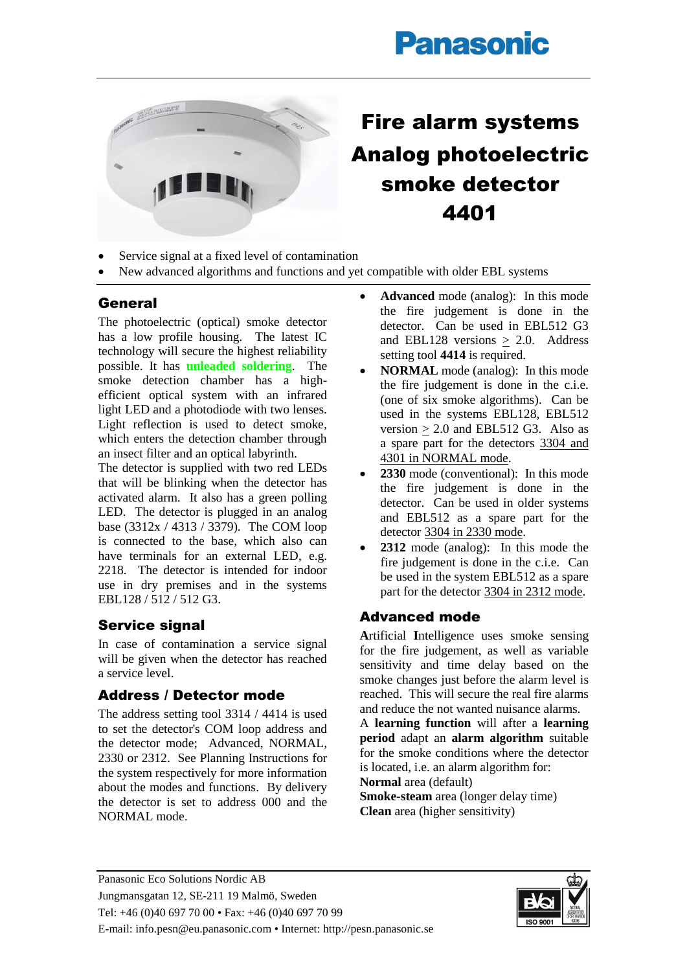# **Panasonic**



## Fire alarm systems Analog photoelectric smoke detector 4401

- Service signal at a fixed level of contamination
- New advanced algorithms and functions and yet compatible with older EBL systems

#### General

The photoelectric (optical) smoke detector has a low profile housing. The latest IC technology will secure the highest reliability possible. It has **unleaded soldering**. The smoke detection chamber has a highefficient optical system with an infrared light LED and a photodiode with two lenses. Light reflection is used to detect smoke, which enters the detection chamber through an insect filter and an optical labyrinth.

The detector is supplied with two red LEDs that will be blinking when the detector has activated alarm. It also has a green polling LED. The detector is plugged in an analog base (3312x / 4313 / 3379). The COM loop is connected to the base, which also can have terminals for an external LED, e.g. 2218. The detector is intended for indoor use in dry premises and in the systems EBL128 / 512 / 512 G3.

#### Service signal

In case of contamination a service signal will be given when the detector has reached a service level.

#### Address / Detector mode

The address setting tool 3314 / 4414 is used to set the detector's COM loop address and the detector mode; Advanced, NORMAL, 2330 or 2312. See Planning Instructions for the system respectively for more information about the modes and functions. By delivery the detector is set to address 000 and the NORMAL mode.

- **Advanced** mode (analog): In this mode the fire judgement is done in the detector. Can be used in EBL512 G3 and EBL128 versions  $\geq$  2.0. Address setting tool **4414** is required.
- **NORMAL** mode (analog): In this mode the fire judgement is done in the c.i.e. (one of six smoke algorithms). Can be used in the systems EBL128, EBL512 version  $> 2.0$  and EBL512 G3. Also as a spare part for the detectors 3304 and 4301 in NORMAL mode.
- 2330 mode (conventional): In this mode the fire judgement is done in the detector. Can be used in older systems and EBL512 as a spare part for the detector 3304 in 2330 mode.
- **2312** mode (analog): In this mode the fire judgement is done in the c.i.e. Can be used in the system EBL512 as a spare part for the detector 3304 in 2312 mode.

### Advanced mode

**A**rtificial **I**ntelligence uses smoke sensing for the fire judgement, as well as variable sensitivity and time delay based on the smoke changes just before the alarm level is reached. This will secure the real fire alarms and reduce the not wanted nuisance alarms.

A **learning function** will after a **learning period** adapt an **alarm algorithm** suitable for the smoke conditions where the detector is located, i.e. an alarm algorithm for: **Normal** area (default)

**Smoke-steam** area (longer delay time) **Clean** area (higher sensitivity)